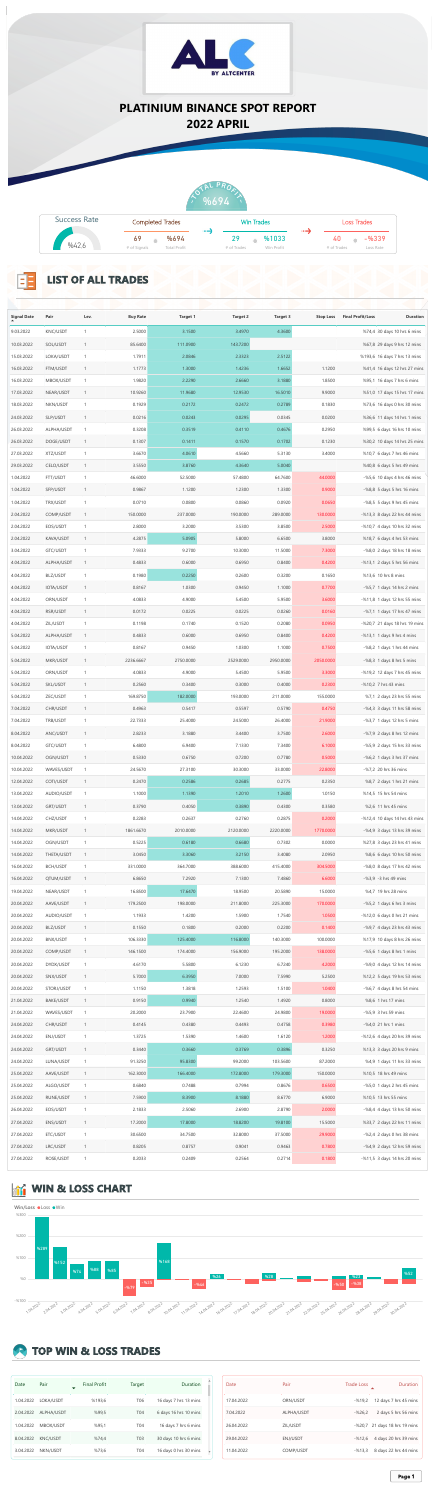## **TOP WIN & LOSS TRADES**

| Date      | Pair            | <b>Final Profit</b> | Target           | Duration              |
|-----------|-----------------|---------------------|------------------|-----------------------|
| 1.04.2022 | LOKA/USDT       | %193,6              | T <sub>06</sub>  | 16 days 7 hrs 13 mins |
| 2.04.2022 | ALPHA/USDT      | %99,5               | <b>T04</b>       | 6 days 16 hrs 10 mins |
| 1.04.2022 | MBOX/USDT       | %95,1               | <b>T04</b>       | 16 days 7 hrs 6 mins  |
| 8.04.2022 | <b>KNC/USDT</b> | %74,4               | T <sub>0</sub> 3 | 30 days 10 hrs 6 mins |
| 3.04.2022 | NKN/USDT        | %73,6               | <b>T04</b>       | 16 days 0 hrs 30 mins |







| Date       | Pair             | <b>Trade Loss</b> | <b>Duration</b>               |
|------------|------------------|-------------------|-------------------------------|
| 17.04.2022 | ORN/USDT         | $-%19,2$          | 12 days 7 hrs 45 mins         |
| 7.04.2022  | ALPHA/USDT       | $-%26,2$          | 2 days 5 hrs 56 mins          |
| 26.04.2022 | ZIL/USDT         |                   | -%20,7 21 days 18 hrs 19 mins |
| 29.04.2022 | <b>ENJ/USDT</b>  | $-%12,6$          | 4 days 20 hrs 39 mins         |
| 11.04.2022 | <b>COMP/USDT</b> | $-%13,3$          | 8 days 22 hrs 44 mins         |

| <b>Signal Date</b> | Pair            | Lev. | <b>Buy Rate</b> | <b>Target 1</b> | <b>Target 2</b> | <b>Target 3</b> | <b>Stop Loss</b> | <b>Final Profit/Loss</b> | <b>Duration</b>              |
|--------------------|-----------------|------|-----------------|-----------------|-----------------|-----------------|------------------|--------------------------|------------------------------|
| 9.03.2022          | <b>KNC/USDT</b> |      | 2.5000          | 3.1500          | 3.4970          | 4.3600          |                  |                          | %74,4 30 days 10 hrs 6 mins  |
| 10.03.2022         | SOL/USDT        |      | 85.6400         | 111.0900        | 143.7200        |                 |                  |                          | %67,8 29 days 9 hrs 12 mins  |
| 15.03.2022         | LOKA/USDT       |      | 1.7911          | 2.0846          | 2.3323          | 2.5122          |                  |                          | %193,6 16 days 7 hrs 13 mins |
| 16.03.2022         | FTM/USDT        |      | 1.1773          | 1.3000          | 1.4236          | 1.6652          | 1.1200           |                          | %41,4 16 days 12 hrs 27 mins |

the control of the control of the con-



| 16.03.2022 | MBOX/USDT        | 1.9820    | 2.2290    | 2.6660    | 3.1880    | 1.8500    | %95,1 16 days 7 hrs 6 mins      |
|------------|------------------|-----------|-----------|-----------|-----------|-----------|---------------------------------|
| 17.03.2022 | NEAR/USDT        | 10.9260   | 11.9680   | 12.9530   | 16.5010   | 9.9000    | %51,0 17 days 15 hrs 17 mins    |
| 18.03.2022 | NKN/USDT         | 0.1929    | 0.2172    | 0.2472    | 0.2789    | 0.1830    | %73,6 16 days 0 hrs 30 mins     |
| 24.03.2022 | SLP/USDT         | 0.0216    | 0.0243    | 0.0295    | 0.0345    | 0.0200    | %36,6 11 days 14 hrs 1 mins     |
| 26.03.2022 | ALPHA/USDT       | 0.3208    | 0.3519    | 0.4110    | 0.4676    | 0.2950    | %99,5 6 days 16 hrs 10 mins     |
| 26.03.2022 | DOGE/USDT        | 0.1307    | 0.1411    | 0.1570    | 0.1702    | 0.1230    | %30,2 10 days 14 hrs 25 mins    |
| 27.03.2022 | XTZ/USDT         | 3.6670    | 4.0610    | 4.5660    | 5.3130    | 3.4000    | %10,7 6 days 7 hrs 46 mins      |
|            |                  |           |           |           |           |           |                                 |
| 29.03.2022 | CELO/USDT        | 3.5550    | 3.8760    | 4.3640    | 5.0040    |           | %40,8 6 days 5 hrs 49 mins      |
| 1.04.2022  | FTT/USDT         | 46.6000   | 52.5000   | 57.4800   | 64.7600   | 44.0000   | $-$ %5,6 10 days 4 hrs 46 mins  |
| 1.04.2022  | SFP/USDT         | 0.9867    | 1.1200    | 1.2300    | 1.3300    | 0.9000    | $-$ %8,8 5 days 5 hrs 16 mins   |
| 1.04.2022  | TRX/USDT         | 0.0710    | 0.0800    | 0.0860    | 0.0920    | 0.0650    | $-$ %8,5 5 days 9 hrs 45 mins   |
| 2.04.2022  | COMP/USDT        | 150.0000  | 237.0000  | 190.0000  | 289.0000  | 130.0000  | $-$ %13,3 8 days 22 hrs 44 mins |
| 2.04.2022  | EOS/USDT         | 2.8000    | 3.2000    | 3.5300    | 3.8500    | 2.5000    | $-$ %10,7 4 days 10 hrs 32 mins |
| 2.04.2022  | KAVA/USDT        | 4.2875    | 5.0905    | 5.8000    | 6.6500    | 3.8000    | %18,7 6 days 4 hrs 53 mins      |
| 3.04.2022  | GTC/USDT         | 7.9333    | 9.2700    | 10.3000   | 11.5000   | 7.3000    | $-$ %8,0 2 days 18 hrs 18 mins  |
| 4.04.2022  | ALPHA/USDT       | 0.4833    | 0.6000    | 0.6950    | 0.8400    | 0.4200    | $-$ %13,1 2 days 5 hrs 56 mins  |
|            |                  |           |           |           |           |           |                                 |
| 4.04.2022  | BLZ/USDT         | 0.1980    | 0.2250    | 0.2600    | 0.3200    | 0.1650    | %13,6 10 hrs 8 mins             |
| 4.04.2022  | IOTA/USDT        | 0.8167    | 1.0300    | 0.9450    | 1.1000    | 0.7700    | $-$ %5,7 1 days 14 hrs 2 mins   |
| 4.04.2022  | ORN/USDT         | 4.0833    | 4.9000    | 5.4500    | 5.9500    | 3.6000    | -%11,8 1 days 12 hrs 55 mins    |
| 4.04.2022  | RSR/USDT         | 0.0172    | 0.0225    | 0.0225    | 0.0260    | 0.0160    | $-$ %7,1 1 days 17 hrs 47 mins  |
| 4.04.2022  | ZIL/USDT         | 0.1198    | 0.1740    | 0.1520    | 0.2080    | 0.0950    | -%20,7 21 days 18 hrs 19 mins   |
| 5.04.2022  | ALPHA/USDT       | 0.4833    | 0.6000    | 0.6950    | 0.8400    | 0.4200    | $-$ %13,1 1 days 9 hrs 4 mins   |
| 5.04.2022  | IOTA/USDT        | 0.8167    | 0.9450    | 1.0300    | 1.1000    | 0.7500    | $-$ %8,2 1 days 1 hrs 44 mins   |
| 5.04.2022  | MKR/USDT         | 2236.6667 | 2750.0000 | 2529.0000 | 2950.0000 | 2050.0000 | $-$ %8,3 1 days 8 hrs 5 mins    |
| 5.04.2022  | ORN/USDT         | 4.0833    | 4.9000    | 5.4500    | 5.9500    | 3.3000    | $-$ %19,2 12 days 7 hrs 45 mins |
|            |                  |           |           |           |           |           |                                 |
| 5.04.2022  | SKL/USDT         | 0.2560    | 0.3400    | 0.3000    | 0.4000    | 0.2300    | $-$ %10,2 7 hrs 43 mins         |
| 5.04.2022  | ZEC/USDT         | 169.8750  | 182.0000  | 193.0000  | 211.0000  | 155.0000  | %7,1 2 days 23 hrs 55 mins      |
| 7.04.2022  | CHR/USDT         | 0.4963    | 0.5417    | 0.5597    | 0.5790    | 0.4750    | $-$ %4,3 3 days 11 hrs 58 mins  |
| 7.04.2022  | TRB/USDT         | 22.7333   | 25.4000   | 24.5000   | 26.4000   | 21.9000   | $-$ %3,7 1 days 12 hrs 5 mins   |
| 8.04.2022  | ANC/USDT         | 2.8233    | 3.1880    | 3.4400    | 3.7500    | 2.6000    | $-$ %7,9 2 days 8 hrs 12 mins   |
| 8.04.2022  | GTC/USDT         | 6.4800    | 6.9400    | 7.1330    | 7.3400    | 6.1000    | $-$ %5,9 2 days 15 hrs 33 mins  |
| 10.04.2022 | OGN/USDT         | 0.5330    | 0.6750    | 0.7200    | 0.7780    | 0.5000    | $-$ %6,2 1 days 3 hrs 37 mins   |
| 10.04.2022 | WAVES/USDT       | 24.5670   | 27.3100   | 30.3000   | 33.0000   | 22.8000   | $-$ %7,2 20 hrs 36 mins         |
| 12.04.2022 | COTI/USDT        | 0.2470    | 0.2586    | 0.2685    | 0.2775    | 0.2350    | %8,7 2 days 1 hrs 21 mins       |
| 13.04.2022 | AUDIO/USDT       | 1.1000    | 1.1390    | 1.2010    | 1.2600    | 1.0150    | %14,5 15 hrs 54 mins            |
| 13.04.2022 | GRT/USDT         | 0.3790    | 0.4050    | 0.3890    | 0.4300    | 0.3580    | %2,6 11 hrs 45 mins             |
|            |                  |           |           |           |           |           |                                 |
| 14.04.2022 | CHZ/USDT         | 0.2283    | 0.2637    | 0.2760    | 0.2875    | 0.2000    | -%12,4 10 days 14 hrs 43 mins   |
| 14.04.2022 | MKR/USDT         | 1861.6670 | 2010.0000 | 2120.0000 | 2220.0000 | 1770.0000 | $-$ %4,9 3 days 13 hrs 39 mins  |
| 14.04.2022 | OGN/USDT         | 0.5225    | 0.6180    | 0.6680    | 0.7302    | 0.0000    | %27,8 3 days 23 hrs 41 mins     |
| 14.04.2022 | THETA/USDT       | 3.0450    | 3.3060    | 3.2150    | 3.4080    | 2.0950    | %8,6 6 days 10 hrs 50 mins      |
| 16.04.2022 | <b>BCH/USDT</b>  | 331.0000  | 364.7000  | 388.6000  | 415.4000  | 304.5000  | -%8,0 8 days 17 hrs 42 mins     |
| 16.04.2022 | QTUM/USDT        | 6.8650    | 7.2920    | 7.1300    | 7.4860    | 6.6000    | $-$ %3,9 $-3$ hrs 49 mins       |
| 19.04.2022 | NEAR/USDT        | 16.8500   | 17.6470   | 18.9500   | 20.5890   | 15.0000   | %4,7 19 hrs 28 mins             |
| 20.04.2022 | AAVE/USDT        | 179.2500  | 198.0000  | 211.8000  | 225.3000  | 170.0000  | $-$ %5,2 1 days 6 hrs 3 mins    |
| 20.04.2022 | AUDIO/USDT       | 1.1933    | 1.4200    | 1.5900    | 1.7540    | 1.0500    | $-$ %12,0 6 days 0 hrs 21 mins  |
| 20.04.2022 | BLZ/USDT         | 0.1550    | 0.1800    | 0.2000    | 0.2200    | 0.1400    | $-$ %9,7 4 days 23 hrs 43 mins  |
| 20.04.2022 | BNX/USDT         | 106.3330  | 125.4000  | 116.8000  | 140.3000  | 100.0000  | %17,9 10 days 8 hrs 26 mins     |
|            |                  |           |           |           |           |           |                                 |
| 20.04.2022 | COMP/USDT        | 146.1500  | 174.4000  | 156.9000  | 195.2000  | 138.0000  | $-$ %5,6 1 days 8 hrs 1 mins    |
| 20.04.2022 | DYDX/USDT        | 4.6170    | 5.5800    | 6.1230    | 6.7240    | 4.2000    | $-$ %9,0 4 days 12 hrs 14 mins  |
| 20.04.2022 | SNX/USDT         | 5.7000    | 6.3950    | 7.0000    | 7.5990    | 5.2500    | %12,2 5 days 19 hrs 53 mins     |
| 20.04.2022 | STORJ/USDT       | 1.1150    | 1.3818    | 1.2593    | 1.5100    | 1.0400    | $-$ %6,7 4 days 8 hrs 54 mins   |
| 21.04.2022 | <b>BAKE/USDT</b> | 0.9150    | 0.9940    | 1.2540    | 1.4920    | 0.8000    | %8,6 1 hrs 17 mins              |
| 21.04.2022 | WAVES/USDT       | 20.2000   | 23.7900   | 22.4600   | 24.9800   | 19.0000   | $-$ %5,9 3 hrs 59 mins          |
| 24.04.2022 | CHR/USDT         | 0.4145    | 0.4380    | 0.4493    | 0.4758    | 0.3980    | $-$ %4,0 21 hrs 1 mins          |
| 24.04.2022 | ENJ/USDT         | 1.3725    | 1.5390    | 1.4600    | 1.6120    | 1.2000    | $-$ %12,6 4 days 20 hrs 39 mins |
| 24.04.2022 | GRT/USDT         | 0.3440    | 0.3660    | 0.3769    | 0.3896    | 0.3250    | %13,3 3 days 20 hrs 9 mins      |
| 24.04.2022 | LUNA/USDT        | 91.3250   | 95.8300   | 99.2000   | 103.5600  | 87.2000   | %4,9 1 days 11 hrs 33 mins      |
|            |                  |           |           |           |           |           |                                 |
| 25.04.2022 | AAVE/USDT        | 162.3000  | 166.4000  | 172.8000  | 179.3000  | 150.0000  | %10,5 18 hrs 49 mins            |
| 25.04.2022 | ALGO/USDT        | 0.6840    | 0.7488    | 0.7994    | 0.8676    | 0.6500    | $-$ %5,0 1 days 2 hrs 45 mins   |
| 25.04.2022 | RUNE/USDT        | 7.5900    | 8.3900    | 8.1880    | 8.6770    | 6.9000    | %10,5 13 hrs 55 mins            |
| 26.04.2022 | EOS/USDT         | 2.1833    | 2.5060    | 2.6900    | 2.8790    | 2.0000    | $-$ %8,4 4 days 13 hrs 50 mins  |
| 27.04.2022 | ENS/USDT         | 17.2000   | 17.8000   | 18.8200   | 19.8100   | 15.5000   | %33,7 2 days 22 hrs 11 mins     |
| 27.04.2022 | ETC/USDT         | 30.6500   | 34.7500   | 32.8000   | 37.5000   | 29.9000   | $-$ %2,4 2 days 0 hrs 38 mins   |
| 27.04.2022 | LRC/USDT         | 0.8205    | 0.8757    | 0.9041    | 0.9463    | 0.7800    | $-$ %4,9 2 days 12 hrs 59 mins  |
| 27.04.2022 | ROSE/USDT        | 0.2033    | 0.2409    | 0.2564    | 0.2714    | 0.1800    | $-$ %11,5 3 days 14 hrs 20 mins |
|            |                  |           |           |           |           |           |                                 |

## **WIN & LOSS CHART**